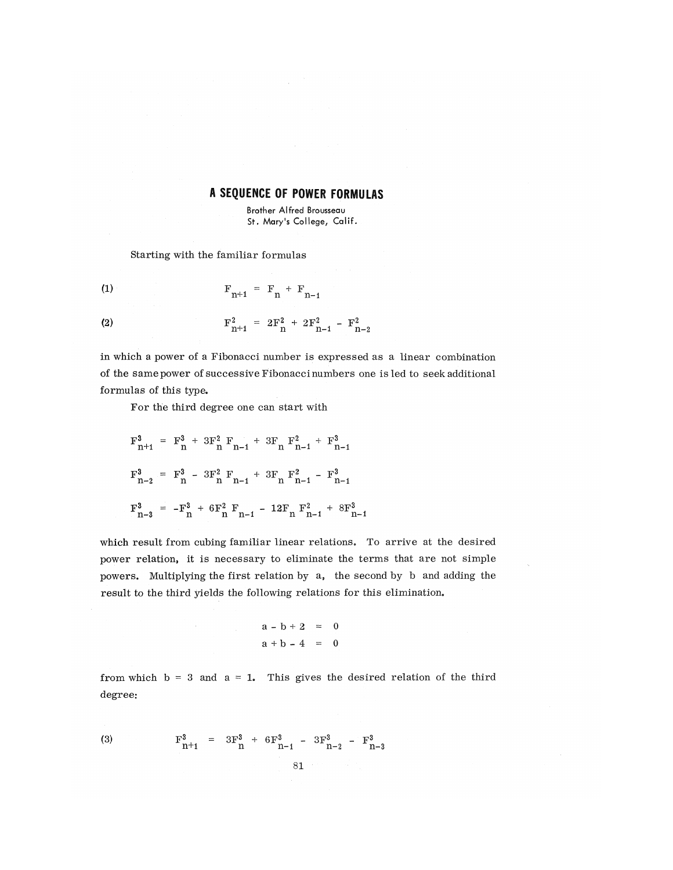## **A SEQUENCE OF POWER FORMULAS**

Brother Alfred Brousseau St. Mary's College, Calif.

Starting with the familiar formulas

(1) 
$$
F_{n+1} = F_n + F_{n-1}
$$

(2) 
$$
F_{n+1}^2 = 2F_n^2 + 2F_{n-1}^2 - F_{n-2}^2
$$

in which a power of a Fibonacci number is expressed as a linear combination of the same power of successive Fibonacci numbers one is led to seek additional formulas of this type.

For the third degree one can start with

$$
F_{n+1}^{3} = F_{n}^{3} + 3F_{n}^{2} F_{n-1} + 3F_{n} F_{n-1}^{2} + F_{n-1}^{3}
$$
  

$$
F_{n-2}^{3} = F_{n}^{3} - 3F_{n}^{2} F_{n-1} + 3F_{n} F_{n-1}^{2} - F_{n-1}^{3}
$$
  

$$
F_{n-3}^{3} = -F_{n}^{3} + 6F_{n}^{2} F_{n-1} - 12F_{n} F_{n-1}^{2} + 8F_{n-1}^{3}
$$

which result from cubing familiar linear relations. To arrive at the desired power relation, it is necessary to eliminate the terms that are not simple powers. Multiplying the first relation by a, the second by b and adding the result to the third yields the following relations for this elimination.

 $\bar{\lambda}$ 

$$
a - b + 2 = 0
$$
  

$$
a + b - 4 = 0
$$

from which  $b = 3$  and  $a = 1$ . This gives the desired relation of the third degree:

(3) 
$$
F_{n+1}^3 = 3F_n^3 + 6F_{n-1}^3 - 3F_{n-2}^3 - F_{n-3}^3
$$

$$
81
$$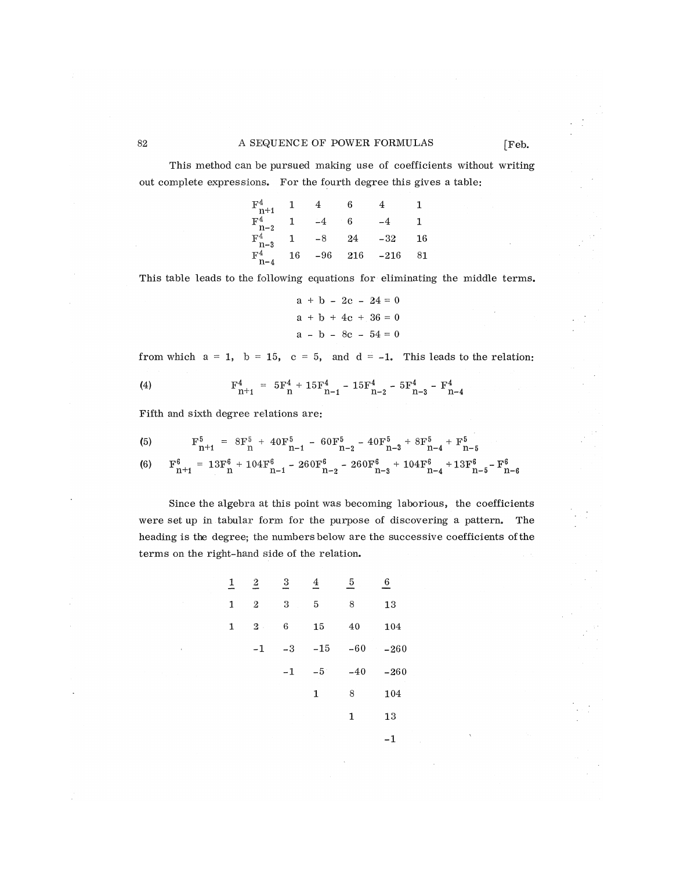## 82 A SEQUENCE OF POWER FORMULAS [Feb.

This method can be pursued making use of coefficients without writing out complete expressions. For the fourth degree this gives a table:

| $\mathbf{F}^4$<br>$n+1$   |             |     |     |        |    |
|---------------------------|-------------|-----|-----|--------|----|
| F <sup>4</sup><br>$n-2$   |             |     | 6   |        |    |
| F <sup>4</sup><br>$n-3$   | ٦           | -8  | 24  | -32    | 16 |
| $\mathbf{F}^{4}$<br>$n-4$ | $^{\rm 16}$ | -96 | 216 | $-216$ | 81 |

.<br>.<br>. This table leads to the following equations for eliminating the middle terms.

$$
a + b - 2c - 24 = 0
$$
  

$$
a + b + 4c + 36 = 0
$$
  

$$
a - b - 8c - 54 = 0
$$

from which  $a = 1$ ,  $b = 15$ ,  $c = 5$ , and  $d = -1$ . This leads to the relation:

(4) 
$$
F_{n+1}^4 = 5F_n^4 + 15F_{n-1}^4 - 15F_{n-2}^4 - 5F_{n-3}^4 - F_{n-4}^4
$$

Fifth and sixth degree relations are:

(5) 
$$
F_{n+1}^{5} = 8F_{n}^{5} + 40F_{n-1}^{5} - 60F_{n-2}^{5} - 40F_{n-3}^{5} + 8F_{n-4}^{5} + F_{n-5}^{5}
$$
  
(6) 
$$
F_{n+4}^{6} = 13F_{n}^{6} + 104F_{n}^{6} - 260F_{n}^{6} - 260F_{n}^{6} + 104F_{n}^{6} + 13F_{n}^{6} - F_{n}^{6}
$$

Since the algebra at this point was becoming laborious, the coefficients were set up in tabular form for the purpose of discovering a pattern. The heading is the degree; the numbers below are the successive coefficients of the terms on the right-hand side of the relation.

n+l n n -l n-2 n-3 n-4 n-5 n-6

| $\overline{1}$ | $\overline{\mathbf{c}}$ | $\overline{\mathbf{3}}$ | 4     | 5     | 6      |
|----------------|-------------------------|-------------------------|-------|-------|--------|
| 1              | $\overline{2}$          | 3                       | 5     | 8     | 13     |
| 1              | $2$ .                   | 6                       | 15    | 40    | 104    |
|                | -1                      | $-3$                    | $-15$ | $-60$ | $-260$ |
|                |                         | $-1$                    | $-5$  | $-40$ | $-260$ |
|                |                         |                         | 1     | 8     | 104    |
|                |                         |                         |       | 1     | 13     |
|                |                         |                         |       |       | -1     |